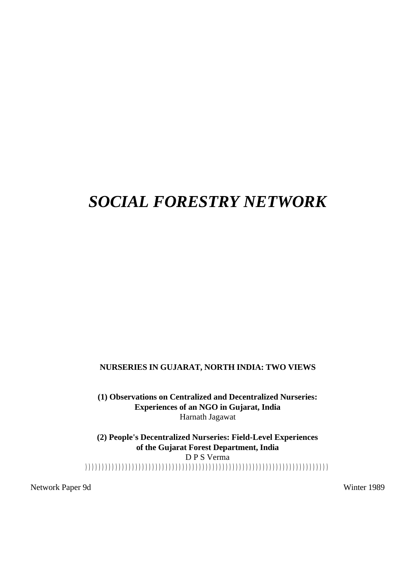# *SOCIAL FORESTRY NETWORK*

# **NURSERIES IN GUJARAT, NORTH INDIA: TWO VIEWS**

**(1) Observations on Centralized and Decentralized Nurseries: Experiences of an NGO in Gujarat, India** Harnath Jagawat

**(2) People's Decentralized Nurseries: Field-Level Experiences of the Gujarat Forest Department, India** D P S Verma )))))))))))))))))))))))))))))))))))))))))))))))))))))))))))))))))))))))))

Network Paper 9d Winter 1989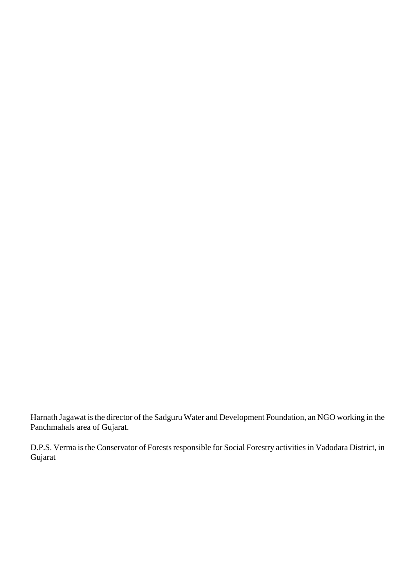Harnath Jagawat is the director of the Sadguru Water and Development Foundation, an NGO working in the Panchmahals area of Gujarat.

D.P.S. Verma is the Conservator of Forests responsible for Social Forestry activities in Vadodara District, in Gujarat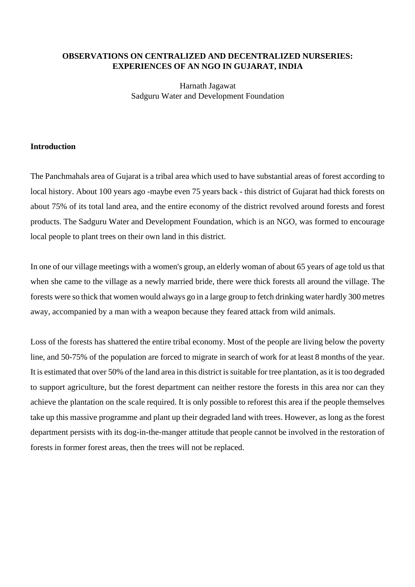### **OBSERVATIONS ON CENTRALIZED AND DECENTRALIZED NURSERIES: EXPERIENCES OF AN NGO IN GUJARAT, INDIA**

Harnath Jagawat Sadguru Water and Development Foundation

## **Introduction**

The Panchmahals area of Gujarat is a tribal area which used to have substantial areas of forest according to local history. About 100 years ago -maybe even 75 years back - this district of Gujarat had thick forests on about 75% of its total land area, and the entire economy of the district revolved around forests and forest products. The Sadguru Water and Development Foundation, which is an NGO, was formed to encourage local people to plant trees on their own land in this district.

In one of our village meetings with a women's group, an elderly woman of about 65 years of age told us that when she came to the village as a newly married bride, there were thick forests all around the village. The forests were so thick that women would always go in a large group to fetch drinking water hardly 300 metres away, accompanied by a man with a weapon because they feared attack from wild animals.

Loss of the forests has shattered the entire tribal economy. Most of the people are living below the poverty line, and 50-75% of the population are forced to migrate in search of work for at least 8 months of the year. It is estimated that over 50% of the land area in this district is suitable for tree plantation, as it is too degraded to support agriculture, but the forest department can neither restore the forests in this area nor can they achieve the plantation on the scale required. It is only possible to reforest this area if the people themselves take up this massive programme and plant up their degraded land with trees. However, as long as the forest department persists with its dog-in-the-manger attitude that people cannot be involved in the restoration of forests in former forest areas, then the trees will not be replaced.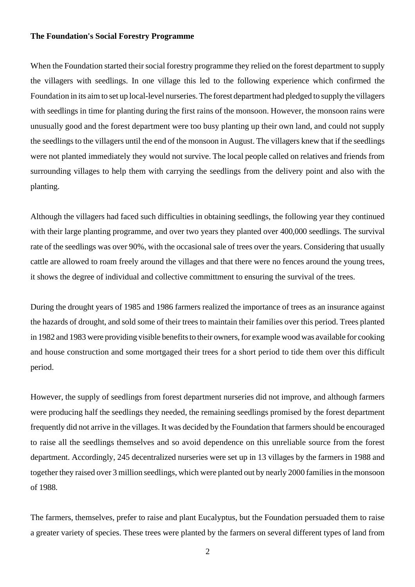#### **The Foundation's Social Forestry Programme**

When the Foundation started their social forestry programme they relied on the forest department to supply the villagers with seedlings. In one village this led to the following experience which confirmed the Foundation in its aim to set up local-level nurseries. The forest department had pledged to supply the villagers with seedlings in time for planting during the first rains of the monsoon. However, the monsoon rains were unusually good and the forest department were too busy planting up their own land, and could not supply the seedlings to the villagers until the end of the monsoon in August. The villagers knew that if the seedlings were not planted immediately they would not survive. The local people called on relatives and friends from surrounding villages to help them with carrying the seedlings from the delivery point and also with the planting.

Although the villagers had faced such difficulties in obtaining seedlings, the following year they continued with their large planting programme, and over two years they planted over 400,000 seedlings. The survival rate of the seedlings was over 90%, with the occasional sale of trees over the years. Considering that usually cattle are allowed to roam freely around the villages and that there were no fences around the young trees, it shows the degree of individual and collective committment to ensuring the survival of the trees.

During the drought years of 1985 and 1986 farmers realized the importance of trees as an insurance against the hazards of drought, and sold some of their trees to maintain their families over this period. Trees planted in 1982 and 1983 were providing visible benefits to their owners, for example wood was available for cooking and house construction and some mortgaged their trees for a short period to tide them over this difficult period.

However, the supply of seedlings from forest department nurseries did not improve, and although farmers were producing half the seedlings they needed, the remaining seedlings promised by the forest department frequently did not arrive in the villages. It was decided by the Foundation that farmers should be encouraged to raise all the seedlings themselves and so avoid dependence on this unreliable source from the forest department. Accordingly, 245 decentralized nurseries were set up in 13 villages by the farmers in 1988 and together they raised over 3 million seedlings, which were planted out by nearly 2000 families in the monsoon of 1988.

The farmers, themselves, prefer to raise and plant Eucalyptus, but the Foundation persuaded them to raise a greater variety of species. These trees were planted by the farmers on several different types of land from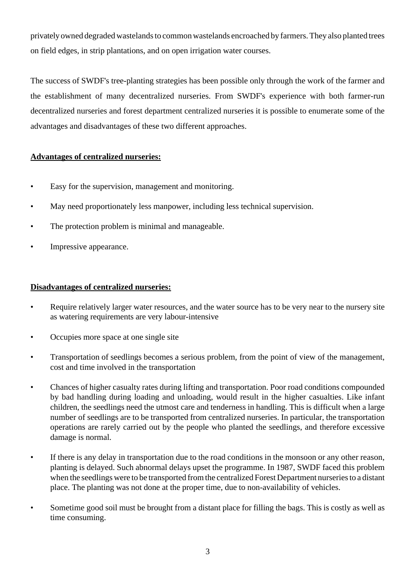privately owned degraded wastelands to common wastelands encroached by farmers. They also planted trees on field edges, in strip plantations, and on open irrigation water courses.

The success of SWDF's tree-planting strategies has been possible only through the work of the farmer and the establishment of many decentralized nurseries. From SWDF's experience with both farmer-run decentralized nurseries and forest department centralized nurseries it is possible to enumerate some of the advantages and disadvantages of these two different approaches.

# **Advantages of centralized nurseries:**

- Easy for the supervision, management and monitoring.
- May need proportionately less manpower, including less technical supervision.
- The protection problem is minimal and manageable.
- Impressive appearance.

# **Disadvantages of centralized nurseries:**

- Require relatively larger water resources, and the water source has to be very near to the nursery site as watering requirements are very labour-intensive
- Occupies more space at one single site
- Transportation of seedlings becomes a serious problem, from the point of view of the management, cost and time involved in the transportation
- Chances of higher casualty rates during lifting and transportation. Poor road conditions compounded by bad handling during loading and unloading, would result in the higher casualties. Like infant children, the seedlings need the utmost care and tenderness in handling. This is difficult when a large number of seedlings are to be transported from centralized nurseries. In particular, the transportation operations are rarely carried out by the people who planted the seedlings, and therefore excessive damage is normal.
- If there is any delay in transportation due to the road conditions in the monsoon or any other reason, planting is delayed. Such abnormal delays upset the programme. In 1987, SWDF faced this problem when the seedlings were to be transported from the centralized Forest Department nurseries to a distant place. The planting was not done at the proper time, due to non-availability of vehicles.
- Sometime good soil must be brought from a distant place for filling the bags. This is costly as well as time consuming.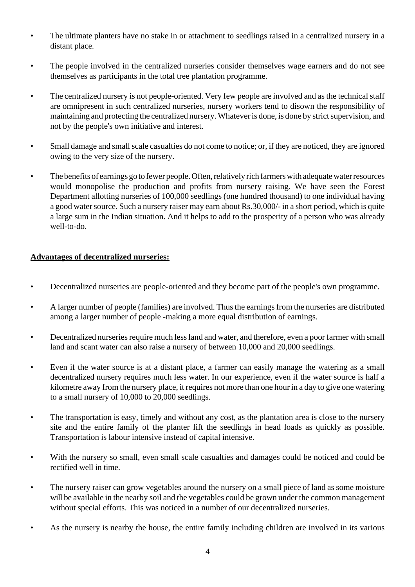- The ultimate planters have no stake in or attachment to seedlings raised in a centralized nursery in a distant place.
- The people involved in the centralized nurseries consider themselves wage earners and do not see themselves as participants in the total tree plantation programme.
- The centralized nursery is not people-oriented. Very few people are involved and as the technical staff are omnipresent in such centralized nurseries, nursery workers tend to disown the responsibility of maintaining and protecting the centralized nursery. Whatever is done, is done by strict supervision, and not by the people's own initiative and interest.
- Small damage and small scale casualties do not come to notice; or, if they are noticed, they are ignored owing to the very size of the nursery.
- The benefits of earnings go to fewer people. Often, relatively rich farmers with adequate water resources would monopolise the production and profits from nursery raising. We have seen the Forest Department allotting nurseries of 100,000 seedlings (one hundred thousand) to one individual having a good water source. Such a nursery raiser may earn about Rs.30,000/- in a short period, which is quite a large sum in the Indian situation. And it helps to add to the prosperity of a person who was already well-to-do.

# **Advantages of decentralized nurseries:**

- Decentralized nurseries are people-oriented and they become part of the people's own programme.
- A larger number of people (families) are involved. Thus the earnings from the nurseries are distributed among a larger number of people -making a more equal distribution of earnings.
- Decentralized nurseries require much less land and water, and therefore, even a poor farmer with small land and scant water can also raise a nursery of between 10,000 and 20,000 seedlings.
- Even if the water source is at a distant place, a farmer can easily manage the watering as a small decentralized nursery requires much less water. In our experience, even if the water source is half a kilometre away from the nursery place, it requires not more than one hour in a day to give one watering to a small nursery of 10,000 to 20,000 seedlings.
- The transportation is easy, timely and without any cost, as the plantation area is close to the nursery site and the entire family of the planter lift the seedlings in head loads as quickly as possible. Transportation is labour intensive instead of capital intensive.
- With the nursery so small, even small scale casualties and damages could be noticed and could be rectified well in time.
- The nursery raiser can grow vegetables around the nursery on a small piece of land as some moisture will be available in the nearby soil and the vegetables could be grown under the common management without special efforts. This was noticed in a number of our decentralized nurseries.
- As the nursery is nearby the house, the entire family including children are involved in its various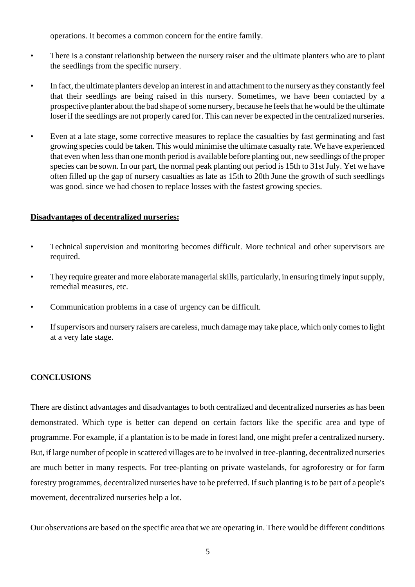operations. It becomes a common concern for the entire family.

- There is a constant relationship between the nursery raiser and the ultimate planters who are to plant the seedlings from the specific nursery.
- In fact, the ultimate planters develop an interest in and attachment to the nursery as they constantly feel that their seedlings are being raised in this nursery. Sometimes, we have been contacted by a prospective planter about the bad shape of some nursery, because he feels that he would be the ultimate loser if the seedlings are not properly cared for. This can never be expected in the centralized nurseries.
- Even at a late stage, some corrective measures to replace the casualties by fast germinating and fast growing species could be taken. This would minimise the ultimate casualty rate. We have experienced that even when less than one month period is available before planting out, new seedlings of the proper species can be sown. In our part, the normal peak planting out period is 15th to 31st July. Yet we have often filled up the gap of nursery casualties as late as 15th to 20th June the growth of such seedlings was good. since we had chosen to replace losses with the fastest growing species.

### **Disadvantages of decentralized nurseries:**

- Technical supervision and monitoring becomes difficult. More technical and other supervisors are required.
- They require greater and more elaborate managerial skills, particularly, in ensuring timely input supply, remedial measures, etc.
- Communication problems in a case of urgency can be difficult.
- If supervisors and nursery raisers are careless, much damage may take place, which only comes to light at a very late stage.

# **CONCLUSIONS**

There are distinct advantages and disadvantages to both centralized and decentralized nurseries as has been demonstrated. Which type is better can depend on certain factors like the specific area and type of programme. For example, if a plantation is to be made in forest land, one might prefer a centralized nursery. But, if large number of people in scattered villages are to be involved in tree-planting, decentralized nurseries are much better in many respects. For tree-planting on private wastelands, for agroforestry or for farm forestry programmes, decentralized nurseries have to be preferred. If such planting is to be part of a people's movement, decentralized nurseries help a lot.

Our observations are based on the specific area that we are operating in. There would be different conditions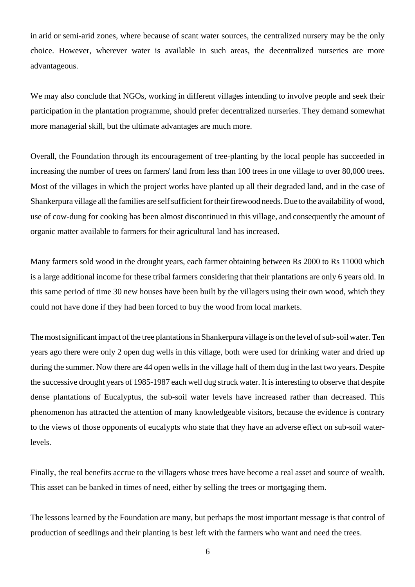in arid or semi-arid zones, where because of scant water sources, the centralized nursery may be the only choice. However, wherever water is available in such areas, the decentralized nurseries are more advantageous.

We may also conclude that NGOs, working in different villages intending to involve people and seek their participation in the plantation programme, should prefer decentralized nurseries. They demand somewhat more managerial skill, but the ultimate advantages are much more.

Overall, the Foundation through its encouragement of tree-planting by the local people has succeeded in increasing the number of trees on farmers' land from less than 100 trees in one village to over 80,000 trees. Most of the villages in which the project works have planted up all their degraded land, and in the case of Shankerpura village all the families are self sufficient for their firewood needs. Due to the availability of wood, use of cow-dung for cooking has been almost discontinued in this village, and consequently the amount of organic matter available to farmers for their agricultural land has increased.

Many farmers sold wood in the drought years, each farmer obtaining between Rs 2000 to Rs 11000 which is a large additional income for these tribal farmers considering that their plantations are only 6 years old. In this same period of time 30 new houses have been built by the villagers using their own wood, which they could not have done if they had been forced to buy the wood from local markets.

The most significant impact of the tree plantations in Shankerpura village is on the level of sub-soil water. Ten years ago there were only 2 open dug wells in this village, both were used for drinking water and dried up during the summer. Now there are 44 open wells in the village half of them dug in the last two years. Despite the successive drought years of 1985-1987 each well dug struck water. It is interesting to observe that despite dense plantations of Eucalyptus, the sub-soil water levels have increased rather than decreased. This phenomenon has attracted the attention of many knowledgeable visitors, because the evidence is contrary to the views of those opponents of eucalypts who state that they have an adverse effect on sub-soil waterlevels.

Finally, the real benefits accrue to the villagers whose trees have become a real asset and source of wealth. This asset can be banked in times of need, either by selling the trees or mortgaging them.

The lessons learned by the Foundation are many, but perhaps the most important message is that control of production of seedlings and their planting is best left with the farmers who want and need the trees.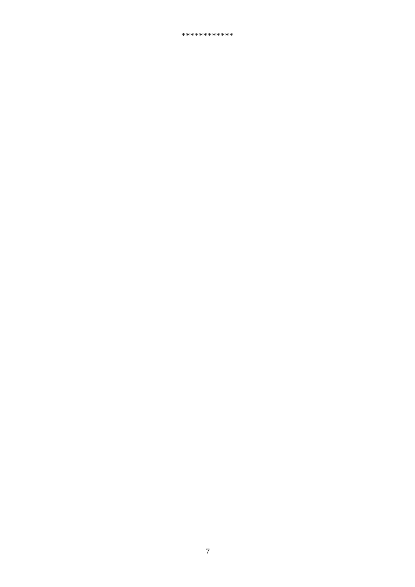\*\*\*\*\*\*\*\*\*\*\*\*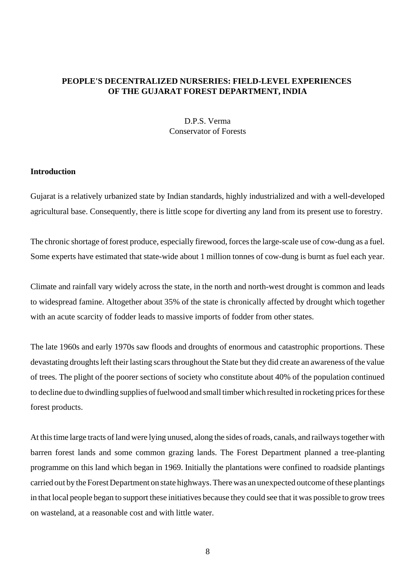## **PEOPLE'S DECENTRALIZED NURSERIES: FIELD-LEVEL EXPERIENCES OF THE GUJARAT FOREST DEPARTMENT, INDIA**

D.P.S. Verma Conservator of Forests

#### **Introduction**

Gujarat is a relatively urbanized state by Indian standards, highly industrialized and with a well-developed agricultural base. Consequently, there is little scope for diverting any land from its present use to forestry.

The chronic shortage of forest produce, especially firewood, forces the large-scale use of cow-dung as a fuel. Some experts have estimated that state-wide about 1 million tonnes of cow-dung is burnt as fuel each year.

Climate and rainfall vary widely across the state, in the north and north-west drought is common and leads to widespread famine. Altogether about 35% of the state is chronically affected by drought which together with an acute scarcity of fodder leads to massive imports of fodder from other states.

The late 1960s and early 1970s saw floods and droughts of enormous and catastrophic proportions. These devastating droughts left their lasting scars throughout the State but they did create an awareness of the value of trees. The plight of the poorer sections of society who constitute about 40% of the population continued to decline due to dwindling supplies of fuelwood and small timber which resulted in rocketing prices for these forest products.

At this time large tracts of land were lying unused, along the sides of roads, canals, and railways together with barren forest lands and some common grazing lands. The Forest Department planned a tree-planting programme on this land which began in 1969. Initially the plantations were confined to roadside plantings carried out by the Forest Department on state highways. There was an unexpected outcome of these plantings in that local people began to support these initiatives because they could see that it was possible to grow trees on wasteland, at a reasonable cost and with little water.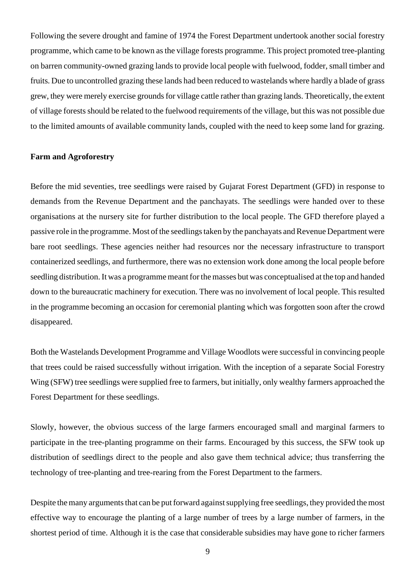Following the severe drought and famine of 1974 the Forest Department undertook another social forestry programme, which came to be known as the village forests programme. This project promoted tree-planting on barren community-owned grazing lands to provide local people with fuelwood, fodder, small timber and fruits. Due to uncontrolled grazing these lands had been reduced to wastelands where hardly a blade of grass grew, they were merely exercise grounds for village cattle rather than grazing lands. Theoretically, the extent of village forests should be related to the fuelwood requirements of the village, but this was not possible due to the limited amounts of available community lands, coupled with the need to keep some land for grazing.

#### **Farm and Agroforestry**

Before the mid seventies, tree seedlings were raised by Gujarat Forest Department (GFD) in response to demands from the Revenue Department and the panchayats. The seedlings were handed over to these organisations at the nursery site for further distribution to the local people. The GFD therefore played a passive role in the programme. Most of the seedlings taken by the panchayats and Revenue Department were bare root seedlings. These agencies neither had resources nor the necessary infrastructure to transport containerized seedlings, and furthermore, there was no extension work done among the local people before seedling distribution. It was a programme meant for the masses but was conceptualised at the top and handed down to the bureaucratic machinery for execution. There was no involvement of local people. This resulted in the programme becoming an occasion for ceremonial planting which was forgotten soon after the crowd disappeared.

Both the Wastelands Development Programme and Village Woodlots were successful in convincing people that trees could be raised successfully without irrigation. With the inception of a separate Social Forestry Wing (SFW) tree seedlings were supplied free to farmers, but initially, only wealthy farmers approached the Forest Department for these seedlings.

Slowly, however, the obvious success of the large farmers encouraged small and marginal farmers to participate in the tree-planting programme on their farms. Encouraged by this success, the SFW took up distribution of seedlings direct to the people and also gave them technical advice; thus transferring the technology of tree-planting and tree-rearing from the Forest Department to the farmers.

Despite the many arguments that can be put forward against supplying free seedlings, they provided the most effective way to encourage the planting of a large number of trees by a large number of farmers, in the shortest period of time. Although it is the case that considerable subsidies may have gone to richer farmers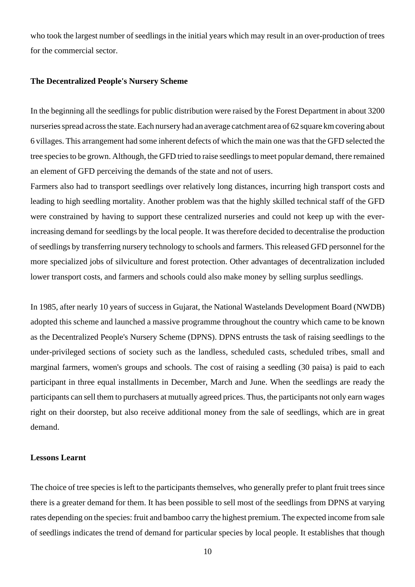who took the largest number of seedlings in the initial years which may result in an over-production of trees for the commercial sector.

#### **The Decentralized People's Nursery Scheme**

In the beginning all the seedlings for public distribution were raised by the Forest Department in about 3200 nurseries spread across the state. Each nursery had an average catchment area of 62 square km covering about 6 villages. This arrangement had some inherent defects of which the main one was that the GFD selected the tree species to be grown. Although, the GFD tried to raise seedlings to meet popular demand, there remained an element of GFD perceiving the demands of the state and not of users.

Farmers also had to transport seedlings over relatively long distances, incurring high transport costs and leading to high seedling mortality. Another problem was that the highly skilled technical staff of the GFD were constrained by having to support these centralized nurseries and could not keep up with the everincreasing demand for seedlings by the local people. It was therefore decided to decentralise the production of seedlings by transferring nursery technology to schools and farmers. This released GFD personnel for the more specialized jobs of silviculture and forest protection. Other advantages of decentralization included lower transport costs, and farmers and schools could also make money by selling surplus seedlings.

In 1985, after nearly 10 years of success in Gujarat, the National Wastelands Development Board (NWDB) adopted this scheme and launched a massive programme throughout the country which came to be known as the Decentralized People's Nursery Scheme (DPNS). DPNS entrusts the task of raising seedlings to the under-privileged sections of society such as the landless, scheduled casts, scheduled tribes, small and marginal farmers, women's groups and schools. The cost of raising a seedling (30 paisa) is paid to each participant in three equal installments in December, March and June. When the seedlings are ready the participants can sell them to purchasers at mutually agreed prices. Thus, the participants not only earn wages right on their doorstep, but also receive additional money from the sale of seedlings, which are in great demand.

## **Lessons Learnt**

The choice of tree species is left to the participants themselves, who generally prefer to plant fruit trees since there is a greater demand for them. It has been possible to sell most of the seedlings from DPNS at varying rates depending on the species: fruit and bamboo carry the highest premium. The expected income from sale of seedlings indicates the trend of demand for particular species by local people. It establishes that though